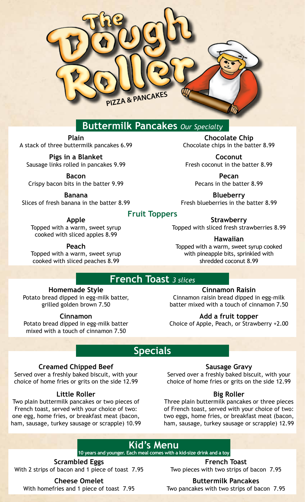

# **Buttermilk Pancakes** *Our Specialty*

**Plain** A stack of three buttermilk pancakes 6.99

**Pigs in a Blanket** Sausage links rolled in pancakes 9.99

**Bacon** Crispy bacon bits in the batter 9.99

**Banana** Slices of fresh banana in the batter 8.99

**Apple** Topped with a warm, sweet syrup cooked with sliced apples 8.99

**Peach** Topped with a warm, sweet syrup cooked with sliced peaches 8.99

**Fruit Toppers**

**Strawberry**

Topped with sliced fresh strawberries 8.99

**Chocolate Chip** Chocolate chips in the batter 8.99

**Coconut** Fresh coconut in the batter 8.99

> **Pecan** Pecans in the batter 8.99

**Blueberry** Fresh blueberries in the batter 8.99

#### **Hawaiian**

Topped with a warm, sweet syrup cooked with pineapple bits, sprinkled with shredded coconut 8.99

## **French Toast** *3 slices*

### **Homemade Style**

Potato bread dipped in egg-milk batter, grilled golden brown 7.50

#### **Cinnamon**

Potato bread dipped in egg-milk batter mixed with a touch of cinnamon 7.50

### **Cinnamon Raisin**

Cinnamon raisin bread dipped in egg-milk batter mixed with a touch of cinnamon 7.50

**Add a fruit topper**  Choice of Apple, Peach, or Strawberry +2.00

# **Specials**

### **Creamed Chipped Beef**

Served over a freshly baked biscuit, with your choice of home fries or grits on the side 12.99

#### **Little Roller**

Two plain buttermilk pancakes or two pieces of French toast, served with your choice of two: one egg, home fries, or breakfast meat (bacon, ham, sausage, turkey sausage or scrapple) 10.99

#### **Sausage Gravy**

Served over a freshly baked biscuit, with your choice of home fries or grits on the side 12.99

#### **Big Roller**

Three plain buttermilk pancakes or three pieces of French toast, served with your choice of two: two eggs, home fries, or breakfast meat (bacon, ham, sausage, turkey sausage or scrapple) 12.99

# **Kid's Menu**

**10 years and younger. Each meal comes with a kid-size drink and a toy**

**Scrambled Eggs**  With 2 strips of bacon and 1 piece of toast 7.95

**Cheese Omelet** With homefries and 1 piece of toast 7.95

**French Toast** Two pieces with two strips of bacon 7.95

**Buttermilk Pancakes**

Two pancakes with two strips of bacon 7.95